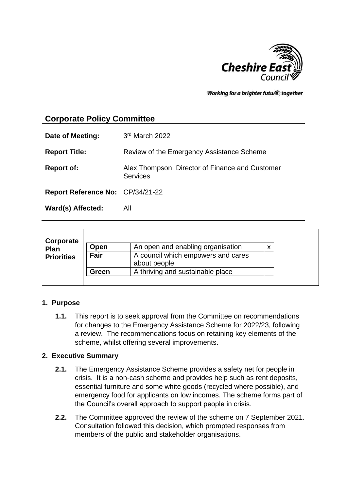

Working for a brighter futures together

# **Corporate Policy Committee**

| Date of Meeting:                 | 3rd March 2022                                                     |
|----------------------------------|--------------------------------------------------------------------|
| <b>Report Title:</b>             | Review of the Emergency Assistance Scheme                          |
| <b>Report of:</b>                | Alex Thompson, Director of Finance and Customer<br><b>Services</b> |
| Report Reference No: CP/34/21-22 |                                                                    |
| Ward(s) Affected:                | All                                                                |

| Corporate         |       |                                                    |  |
|-------------------|-------|----------------------------------------------------|--|
| Plan              | Open  | An open and enabling organisation                  |  |
| <b>Priorities</b> | Fair  | A council which empowers and cares<br>about people |  |
|                   | Green | A thriving and sustainable place                   |  |
|                   |       |                                                    |  |

#### **1. Purpose**

**1.1.** This report is to seek approval from the Committee on recommendations for changes to the Emergency Assistance Scheme for 2022/23, following a review. The recommendations focus on retaining key elements of the scheme, whilst offering several improvements.

#### **2. Executive Summary**

- **2.1.** The Emergency Assistance Scheme provides a safety net for people in crisis. It is a non-cash scheme and provides help such as rent deposits, essential furniture and some white goods (recycled where possible), and emergency food for applicants on low incomes. The scheme forms part of the Council's overall approach to support people in crisis.
- **2.2.** The Committee approved the review of the scheme on 7 September 2021. Consultation followed this decision, which prompted responses from members of the public and stakeholder organisations.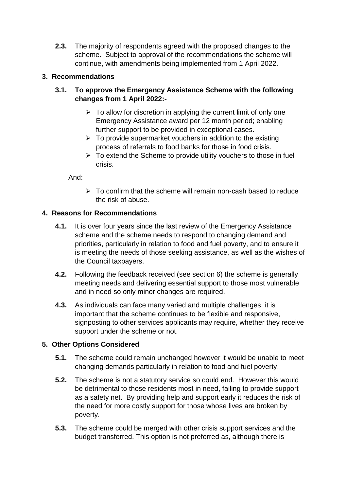**2.3.** The majority of respondents agreed with the proposed changes to the scheme. Subject to approval of the recommendations the scheme will continue, with amendments being implemented from 1 April 2022.

# **3. Recommendations**

## **3.1. To approve the Emergency Assistance Scheme with the following changes from 1 April 2022:-**

- $\triangleright$  To allow for discretion in applying the current limit of only one Emergency Assistance award per 12 month period; enabling further support to be provided in exceptional cases.
- $\triangleright$  To provide supermarket vouchers in addition to the existing process of referrals to food banks for those in food crisis.
- $\triangleright$  To extend the Scheme to provide utility vouchers to those in fuel crisis.

And:

 $\triangleright$  To confirm that the scheme will remain non-cash based to reduce the risk of abuse.

# **4. Reasons for Recommendations**

- **4.1.** It is over four years since the last review of the Emergency Assistance scheme and the scheme needs to respond to changing demand and priorities, particularly in relation to food and fuel poverty, and to ensure it is meeting the needs of those seeking assistance, as well as the wishes of the Council taxpayers.
- **4.2.** Following the feedback received (see section 6) the scheme is generally meeting needs and delivering essential support to those most vulnerable and in need so only minor changes are required.
- **4.3.** As individuals can face many varied and multiple challenges, it is important that the scheme continues to be flexible and responsive, signposting to other services applicants may require, whether they receive support under the scheme or not.

# **5. Other Options Considered**

- **5.1.** The scheme could remain unchanged however it would be unable to meet changing demands particularly in relation to food and fuel poverty.
- **5.2.** The scheme is not a statutory service so could end. However this would be detrimental to those residents most in need, failing to provide support as a safety net. By providing help and support early it reduces the risk of the need for more costly support for those whose lives are broken by poverty.
- **5.3.** The scheme could be merged with other crisis support services and the budget transferred. This option is not preferred as, although there is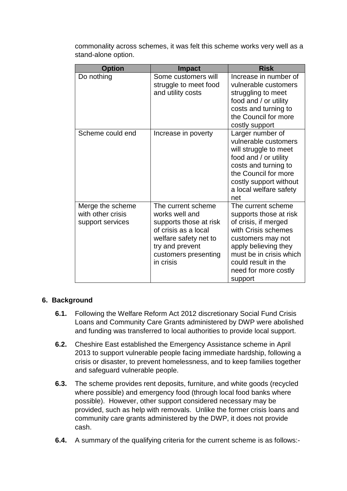commonality across schemes, it was felt this scheme works very well as a stand-alone option.

| <b>Option</b>                                             | <b>Impact</b>                                                                                                                                                           | <b>Risk</b>                                                                                                                                                                                                                   |
|-----------------------------------------------------------|-------------------------------------------------------------------------------------------------------------------------------------------------------------------------|-------------------------------------------------------------------------------------------------------------------------------------------------------------------------------------------------------------------------------|
| Do nothing                                                | Some customers will<br>struggle to meet food<br>and utility costs                                                                                                       | Increase in number of<br>vulnerable customers<br>struggling to meet<br>food and / or utility<br>costs and turning to<br>the Council for more<br>costly support                                                                |
| Scheme could end                                          | Increase in poverty                                                                                                                                                     | Larger number of<br>vulnerable customers<br>will struggle to meet<br>food and / or utility<br>costs and turning to<br>the Council for more<br>costly support without<br>a local welfare safety<br>net                         |
| Merge the scheme<br>with other crisis<br>support services | The current scheme<br>works well and<br>supports those at risk<br>of crisis as a local<br>welfare safety net to<br>try and prevent<br>customers presenting<br>in crisis | The current scheme<br>supports those at risk<br>of crisis, if merged<br>with Crisis schemes<br>customers may not<br>apply believing they<br>must be in crisis which<br>could result in the<br>need for more costly<br>support |

## **6. Background**

- **6.1.** Following the Welfare Reform Act 2012 discretionary Social Fund Crisis Loans and Community Care Grants administered by DWP were abolished and funding was transferred to local authorities to provide local support.
- **6.2.** Cheshire East established the Emergency Assistance scheme in April 2013 to support vulnerable people facing immediate hardship, following a crisis or disaster, to prevent homelessness, and to keep families together and safeguard vulnerable people.
- **6.3.** The scheme provides rent deposits, furniture, and white goods (recycled where possible) and emergency food (through local food banks where possible). However, other support considered necessary may be provided, such as help with removals. Unlike the former crisis loans and community care grants administered by the DWP, it does not provide cash.
- **6.4.** A summary of the qualifying criteria for the current scheme is as follows:-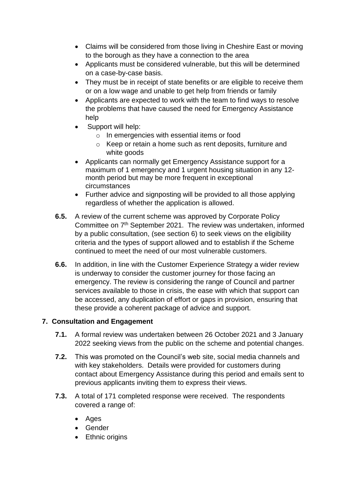- Claims will be considered from those living in Cheshire East or moving to the borough as they have a connection to the area
- Applicants must be considered vulnerable, but this will be determined on a case-by-case basis.
- They must be in receipt of state benefits or are eligible to receive them or on a low wage and unable to get help from friends or family
- Applicants are expected to work with the team to find ways to resolve the problems that have caused the need for Emergency Assistance help
- Support will help:
	- o In emergencies with essential items or food
	- o Keep or retain a home such as rent deposits, furniture and white goods
- Applicants can normally get Emergency Assistance support for a maximum of 1 emergency and 1 urgent housing situation in any 12 month period but may be more frequent in exceptional circumstances
- Further advice and signposting will be provided to all those applying regardless of whether the application is allowed.
- **6.5.** A review of the current scheme was approved by Corporate Policy Committee on 7th September 2021. The review was undertaken, informed by a public consultation, (see section 6) to seek views on the eligibility criteria and the types of support allowed and to establish if the Scheme continued to meet the need of our most vulnerable customers.
- **6.6.** In addition, in line with the Customer Experience Strategy a wider review is underway to consider the customer journey for those facing an emergency. The review is considering the range of Council and partner services available to those in crisis, the ease with which that support can be accessed, any duplication of effort or gaps in provision, ensuring that these provide a coherent package of advice and support.

# **7. Consultation and Engagement**

- **7.1.** A formal review was undertaken between 26 October 2021 and 3 January 2022 seeking views from the public on the scheme and potential changes.
- **7.2.** This was promoted on the Council's web site, social media channels and with key stakeholders. Details were provided for customers during contact about Emergency Assistance during this period and emails sent to previous applicants inviting them to express their views.
- **7.3.** A total of 171 completed response were received. The respondents covered a range of:
	- Ages
	- Gender
	- Ethnic origins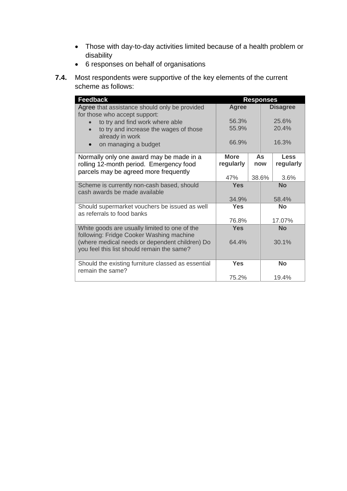- Those with day-to-day activities limited because of a health problem or disability
- 6 responses on behalf of organisations
- **7.4.** Most respondents were supportive of the key elements of the current scheme as follows:

| <b>Feedback</b>                                                                              | <b>Responses</b> |  |                 |             |
|----------------------------------------------------------------------------------------------|------------------|--|-----------------|-------------|
| Agree that assistance should only be provided<br>for those who accept support:               | <b>Agree</b>     |  | <b>Disagree</b> |             |
| to try and find work where able                                                              | 56.3%            |  | 25.6%           |             |
| to try and increase the wages of those<br>already in work                                    | 55.9%            |  |                 | 20.4%       |
| on managing a budget<br>$\bullet$                                                            | 66.9%            |  |                 | 16.3%       |
| Normally only one award may be made in a                                                     | <b>More</b>      |  | <b>As</b>       | <b>Less</b> |
| rolling 12-month period. Emergency food                                                      | regularly        |  | now             | regularly   |
| parcels may be agreed more frequently                                                        |                  |  |                 |             |
|                                                                                              | 47%              |  | 38.6%           | 3.6%        |
| Scheme is currently non-cash based, should<br>cash awards be made available                  | <b>Yes</b>       |  | <b>No</b>       |             |
|                                                                                              | 34.9%            |  |                 | 58.4%       |
| Should supermarket vouchers be issued as well<br>as referrals to food banks                  | <b>Yes</b>       |  |                 | <b>No</b>   |
|                                                                                              | 76.8%            |  |                 | 17.07%      |
| White goods are usually limited to one of the<br>following: Fridge Cooker Washing machine    | <b>Yes</b>       |  |                 | <b>No</b>   |
| (where medical needs or dependent children) Do<br>you feel this list should remain the same? | 64.4%            |  |                 | 30.1%       |
| Should the existing furniture classed as essential<br>remain the same?                       | <b>Yes</b>       |  |                 | <b>No</b>   |
|                                                                                              | 75.2%            |  |                 | 19.4%       |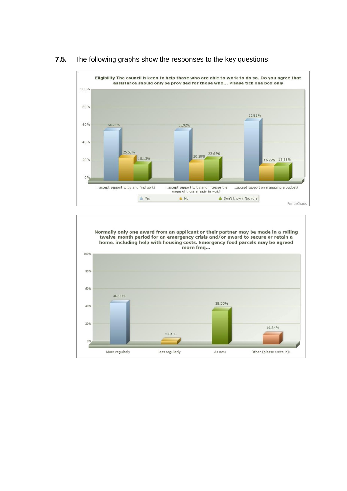

#### **7.5.** The following graphs show the responses to the key questions:

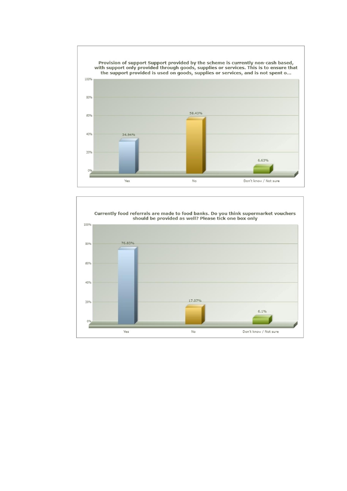

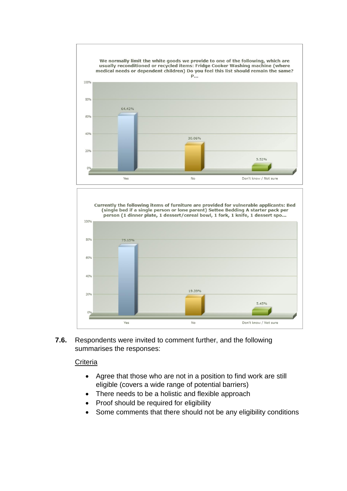



**7.6.** Respondents were invited to comment further, and the following summarises the responses:

#### **Criteria**

- Agree that those who are not in a position to find work are still eligible (covers a wide range of potential barriers)
- There needs to be a holistic and flexible approach
- Proof should be required for eligibility
- Some comments that there should not be any eligibility conditions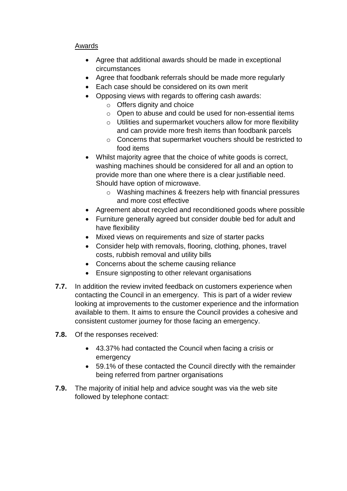# Awards

- Agree that additional awards should be made in exceptional circumstances
- Agree that foodbank referrals should be made more regularly
- Each case should be considered on its own merit
- Opposing views with regards to offering cash awards:
	- o Offers dignity and choice
	- o Open to abuse and could be used for non-essential items
	- o Utilities and supermarket vouchers allow for more flexibility and can provide more fresh items than foodbank parcels
	- o Concerns that supermarket vouchers should be restricted to food items
- Whilst majority agree that the choice of white goods is correct, washing machines should be considered for all and an option to provide more than one where there is a clear justifiable need. Should have option of microwave.
	- o Washing machines & freezers help with financial pressures and more cost effective
- Agreement about recycled and reconditioned goods where possible
- Furniture generally agreed but consider double bed for adult and have flexibility
- Mixed views on requirements and size of starter packs
- Consider help with removals, flooring, clothing, phones, travel costs, rubbish removal and utility bills
- Concerns about the scheme causing reliance
- Ensure signposting to other relevant organisations
- **7.7.** In addition the review invited feedback on customers experience when contacting the Council in an emergency. This is part of a wider review looking at improvements to the customer experience and the information available to them. It aims to ensure the Council provides a cohesive and consistent customer journey for those facing an emergency.
- **7.8.** Of the responses received:
	- 43.37% had contacted the Council when facing a crisis or emergency
	- 59.1% of these contacted the Council directly with the remainder being referred from partner organisations
- **7.9.** The majority of initial help and advice sought was via the web site followed by telephone contact: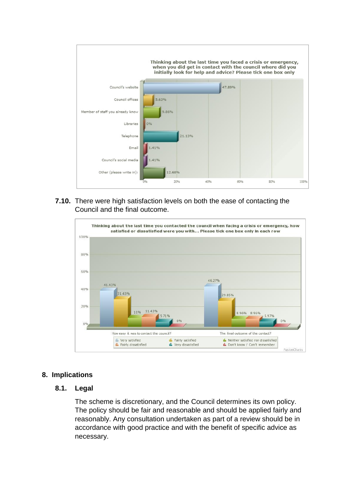

**7.10.** There were high satisfaction levels on both the ease of contacting the Council and the final outcome.



## **8. Implications**

## **8.1. Legal**

The scheme is discretionary, and the Council determines its own policy. The policy should be fair and reasonable and should be applied fairly and reasonably. Any consultation undertaken as part of a review should be in accordance with good practice and with the benefit of specific advice as necessary.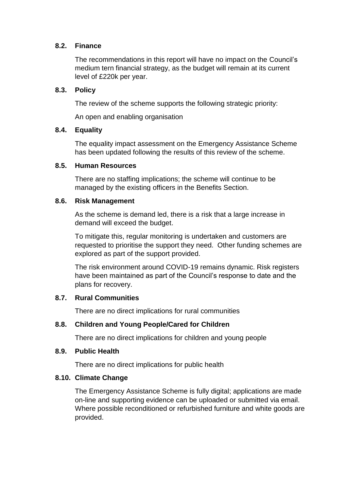### **8.2. Finance**

The recommendations in this report will have no impact on the Council's medium tern financial strategy, as the budget will remain at its current level of £220k per year.

### **8.3. Policy**

The review of the scheme supports the following strategic priority:

An open and enabling organisation

### **8.4. Equality**

The equality impact assessment on the Emergency Assistance Scheme has been updated following the results of this review of the scheme.

#### **8.5. Human Resources**

There are no staffing implications; the scheme will continue to be managed by the existing officers in the Benefits Section.

### **8.6. Risk Management**

As the scheme is demand led, there is a risk that a large increase in demand will exceed the budget.

To mitigate this, regular monitoring is undertaken and customers are requested to prioritise the support they need. Other funding schemes are explored as part of the support provided.

The risk environment around COVID-19 remains dynamic. Risk registers have been maintained as part of the Council's response to date and the plans for recovery.

## **8.7. Rural Communities**

There are no direct implications for rural communities

## **8.8. Children and Young People/Cared for Children**

There are no direct implications for children and young people

#### **8.9. Public Health**

There are no direct implications for public health

## **8.10. Climate Change**

The Emergency Assistance Scheme is fully digital; applications are made on-line and supporting evidence can be uploaded or submitted via email. Where possible reconditioned or refurbished furniture and white goods are provided.